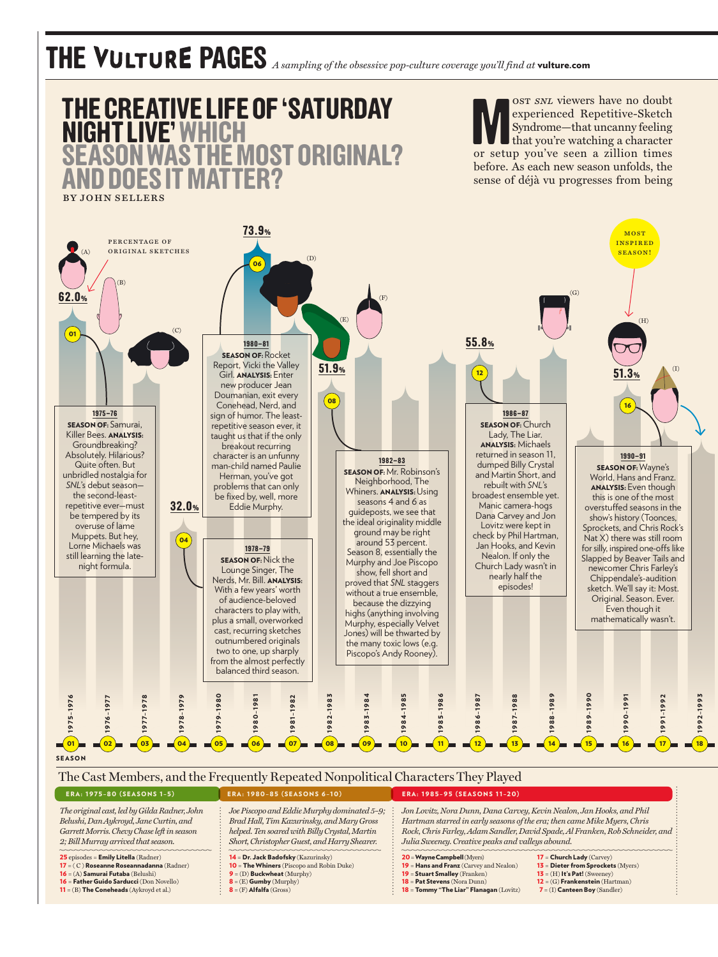## **THE PAGES** *A sampling of the obsessive pop-culture coverage you'll find at* vulture.com



| ERA: 1773-00 (SEASONS 1-37                      | ERA: 1200-03 (SEASONS 0-10)                      | LRA: 1703-73 (SLASONS 11-20)                                                  |                                          |
|-------------------------------------------------|--------------------------------------------------|-------------------------------------------------------------------------------|------------------------------------------|
| The original cast, led by Gilda Radner, John    | Joe Piscopo and Eddie Murphy dominated 5-9;      | Jon Lovitz, Nora Dunn, Dana Carvey, Kevin Nealon, Jan Hooks, and Phil         |                                          |
| Belushi, Dan Aykroyd, Jane Curtin, and          | Brad Hall, Tim Kazurinsky, and Mary Gross        | Hartman starred in early seasons of the era; then came Mike Myers, Chris      |                                          |
| Garrett Morris. Chevy Chase left in season      | helped. Ten soared with Billy Crystal, Martin    | Rock, Chris Farley, Adam Sandler, David Spade, Al Franken, Rob Schneider, and |                                          |
| 2; Bill Murray arrived that season.             | Short, Christopher Guest, and Harry Shearer.     | Julia Sweeney. Creative peaks and valleys abound.                             |                                          |
| 25 episodes = Emily Litella (Radner)            | $14 = Dr.$ Jack Badofsky (Kazurinsky)            | $20 =$ Wayne Campbell (Myers)                                                 | $17 =$ Church Lady (Carvey)              |
| 17 = (C) Roseanne Roseannadanna (Radner)        | <b>10 = The Whiners</b> (Piscopo and Robin Duke) | 19 = Hans and Franz (Carvey and Nealon)                                       | $13$ = Dieter from Sprockets (Myers)     |
| 16 = (A) Samurai Futaba (Belushi)               | $9 = (D)$ Buckwheat (Murphy)                     | 19 = Stuart Smalley (Franken)                                                 | $13 = (H)$ It's Pat! (Sweeney)           |
| <b>16 = Father Guido Sarducci</b> (Don Novello) | $\mathbf{8} = (E)$ Gumby (Murphy)                | <b>18 = Pat Stevens</b> (Nora Dunn)                                           | $12 = (G)$ Frankenstein (Hartman)        |
| $11 = (B)$ The Coneheads (Aykroyd et al.)       | $\mathbf{8} = (F)$ Alfalfa (Gross)               | 18 = Tommy "The Liar" Flanagan (Lovitz)                                       | $\mathbf{7} = (I)$ Canteen Boy (Sandler) |